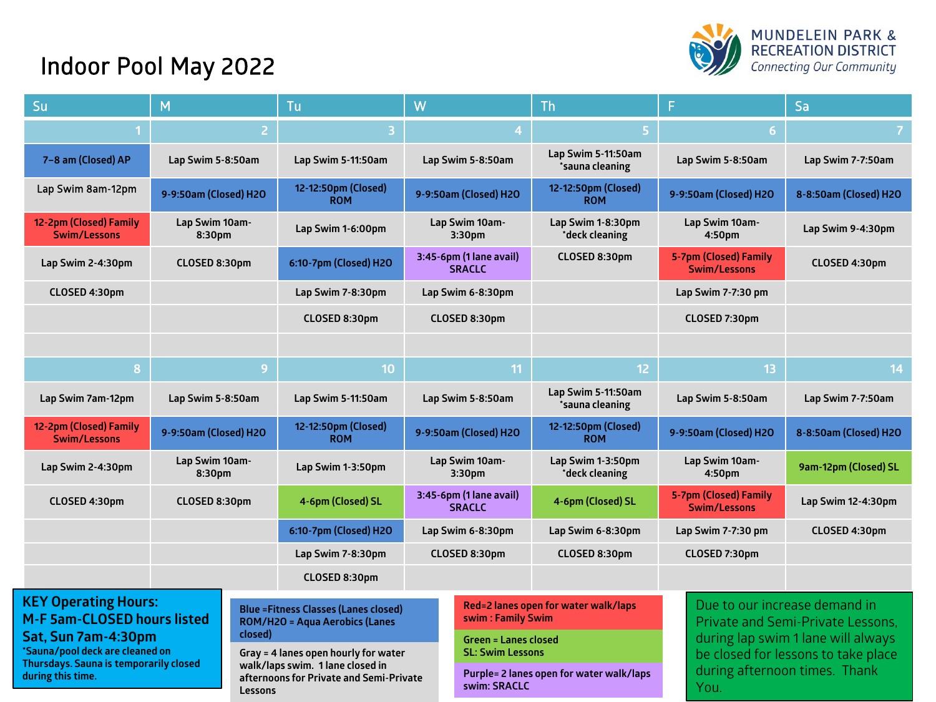## Indoor Pool May 2022



| Su                                                                                                                                                                                                               | м                        |                                                                                       | W<br>Tu                                                                                                             |                                                                                          |  | Th                                                                                                              |                                                                              | Sa                    |  |
|------------------------------------------------------------------------------------------------------------------------------------------------------------------------------------------------------------------|--------------------------|---------------------------------------------------------------------------------------|---------------------------------------------------------------------------------------------------------------------|------------------------------------------------------------------------------------------|--|-----------------------------------------------------------------------------------------------------------------|------------------------------------------------------------------------------|-----------------------|--|
|                                                                                                                                                                                                                  |                          | $\overline{a}$                                                                        | 3                                                                                                                   |                                                                                          |  | $\overline{5}$                                                                                                  | 6                                                                            | $\overline{7}$        |  |
| 7-8 am (Closed) AP                                                                                                                                                                                               | Lap Swim 5-8:50am        |                                                                                       | Lap Swim 5-11:50am                                                                                                  | Lap Swim 5-8:50am                                                                        |  | Lap Swim 5-11:50am<br>*sauna cleaning                                                                           | Lap Swim 5-8:50am                                                            | Lap Swim 7-7:50am     |  |
| Lap Swim 8am-12pm                                                                                                                                                                                                | 9-9:50am (Closed) H2O    |                                                                                       | 12-12:50pm (Closed)<br><b>ROM</b>                                                                                   | 9-9:50am (Closed) H2O                                                                    |  | 12-12:50pm (Closed)<br><b>ROM</b>                                                                               | 9-9:50am (Closed) H2O                                                        | 8-8:50am (Closed) H2O |  |
| 12-2pm (Closed) Family<br><b>Swim/Lessons</b>                                                                                                                                                                    | Lap Swim 10am-<br>8:30pm |                                                                                       | Lap Swim 1-6:00pm                                                                                                   | Lap Swim 10am-<br>3:30 <sub>pm</sub>                                                     |  | Lap Swim 1-8:30pm<br>*deck cleaning                                                                             | Lap Swim 10am-<br>4:50 <sub>pm</sub>                                         | Lap Swim 9-4:30pm     |  |
| Lap Swim 2-4:30pm                                                                                                                                                                                                | CLOSED 8:30pm            |                                                                                       | 6:10-7pm (Closed) H2O                                                                                               | 3:45-6pm (1 lane avail)<br><b>SRACLC</b>                                                 |  | CLOSED 8:30pm                                                                                                   | 5-7pm (Closed) Family<br><b>Swim/Lessons</b>                                 | CLOSED 4:30pm         |  |
| CLOSED 4:30pm                                                                                                                                                                                                    |                          |                                                                                       | Lap Swim 7-8:30pm                                                                                                   | Lap Swim 6-8:30pm                                                                        |  |                                                                                                                 | Lap Swim 7-7:30 pm                                                           |                       |  |
|                                                                                                                                                                                                                  |                          |                                                                                       | CLOSED 8:30pm                                                                                                       | CLOSED 8:30pm                                                                            |  |                                                                                                                 | CLOSED 7:30pm                                                                |                       |  |
|                                                                                                                                                                                                                  |                          |                                                                                       |                                                                                                                     |                                                                                          |  |                                                                                                                 |                                                                              |                       |  |
| 8                                                                                                                                                                                                                | 9                        |                                                                                       | 10                                                                                                                  | 11                                                                                       |  | 12 <sub>2</sub>                                                                                                 | 13                                                                           | 14                    |  |
| Lap Swim 7am-12pm                                                                                                                                                                                                | Lap Swim 5-8:50am        |                                                                                       | Lap Swim 5-11:50am                                                                                                  | Lap Swim 5-8:50am                                                                        |  | Lap Swim 5-11:50am<br>*sauna cleaning                                                                           | Lap Swim 5-8:50am                                                            | Lap Swim 7-7:50am     |  |
| 12-2pm (Closed) Family<br>Swim/Lessons                                                                                                                                                                           | 9-9:50am (Closed) H2O    |                                                                                       | 12-12:50pm (Closed)<br><b>ROM</b>                                                                                   | 9-9:50am (Closed) H2O                                                                    |  | 12-12:50pm (Closed)<br><b>ROM</b>                                                                               | 9-9:50am (Closed) H2O                                                        | 8-8:50am (Closed) H2O |  |
| Lap Swim 2-4:30pm                                                                                                                                                                                                | Lap Swim 10am-<br>8:30pm |                                                                                       | Lap Swim 1-3:50pm                                                                                                   | Lap Swim 10am-<br>3:30pm                                                                 |  | Lap Swim 1-3:50pm<br>*deck cleaning                                                                             | Lap Swim 10am-<br>4:50pm                                                     | 9am-12pm (Closed) SL  |  |
| CLOSED 4:30pm                                                                                                                                                                                                    | CLOSED 8:30pm            |                                                                                       | 4-6pm (Closed) SL                                                                                                   | 3:45-6pm (1 lane avail)<br><b>SRACLC</b>                                                 |  | 4-6pm (Closed) SL                                                                                               | <b>5-7pm (Closed) Family</b><br><b>Swim/Lessons</b>                          | Lap Swim 12-4:30pm    |  |
|                                                                                                                                                                                                                  |                          |                                                                                       | 6:10-7pm (Closed) H2O                                                                                               | Lap Swim 6-8:30pm                                                                        |  | Lap Swim 6-8:30pm                                                                                               | Lap Swim 7-7:30 pm                                                           | CLOSED 4:30pm         |  |
|                                                                                                                                                                                                                  |                          |                                                                                       | Lap Swim 7-8:30pm                                                                                                   | CLOSED 8:30pm                                                                            |  | CLOSED 8:30pm                                                                                                   | CLOSED 7:30pm                                                                |                       |  |
|                                                                                                                                                                                                                  |                          |                                                                                       | CLOSED 8:30pm                                                                                                       |                                                                                          |  |                                                                                                                 |                                                                              |                       |  |
| <b>KEY Operating Hours:</b><br><b>M-F 5am-CLOSED hours listed</b><br>closed)<br>Sat, Sun 7am-4:30pm<br>*Sauna/pool deck are cleaned on<br>Thursdays. Sauna is temporarily closed<br>during this time.<br>Lessons |                          | <b>Blue = Fitness Classes (Lanes closed)</b><br><b>ROM/H2O = Aqua Aerobics (Lanes</b> |                                                                                                                     | Red=2 lanes open for water walk/laps<br>swim: Family Swim<br><b>Green = Lanes closed</b> |  | Due to our increase demand in<br><b>Private and Semi-Private Lessons.</b><br>during lap swim 1 lane will always |                                                                              |                       |  |
|                                                                                                                                                                                                                  |                          |                                                                                       | Gray = 4 lanes open hourly for water<br>walk/laps swim. 1 lane closed in<br>afternoons for Private and Semi-Private | <b>SL: Swim Lessons</b><br>Purple= 2 lanes open for water walk/laps<br>swim: SRACLC      |  |                                                                                                                 | be closed for lessons to take place<br>during afternoon times. Thank<br>You. |                       |  |
|                                                                                                                                                                                                                  |                          |                                                                                       |                                                                                                                     |                                                                                          |  |                                                                                                                 |                                                                              |                       |  |